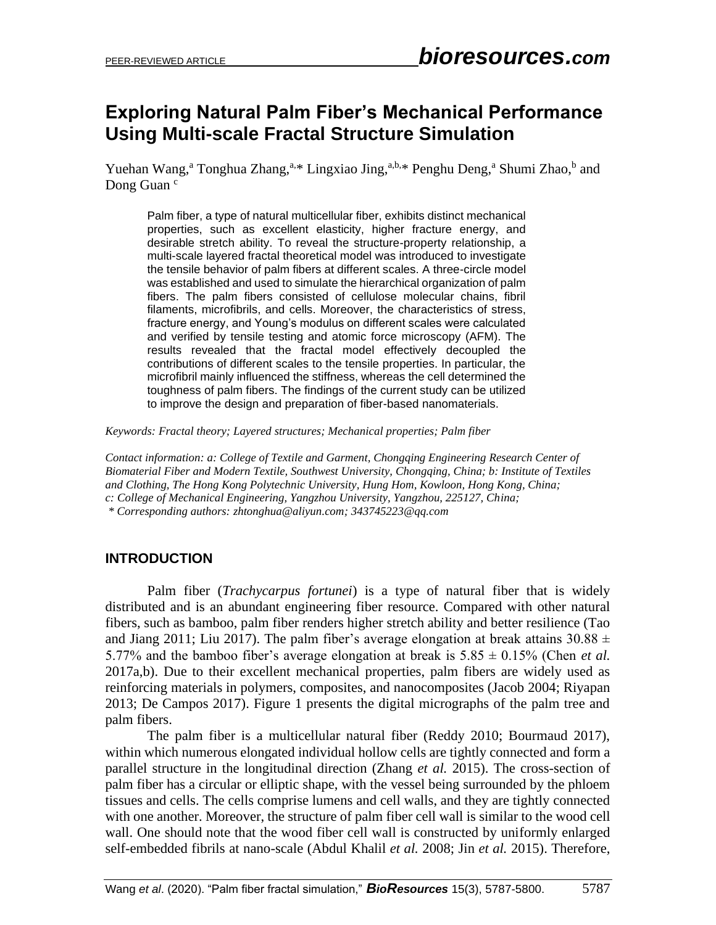# **Exploring Natural Palm Fiber's Mechanical Performance Using Multi-scale Fractal Structure Simulation**

Yuehan Wang,<sup>a</sup> Tonghua Zhang,<sup>a,\*</sup> Lingxiao Jing,<sup>a,b,\*</sup> Penghu Deng,<sup>a</sup> Shumi Zhao,<sup>b</sup> and Dong Guan<sup>c</sup>

Palm fiber, a type of natural multicellular fiber, exhibits distinct mechanical properties, such as excellent elasticity, higher fracture energy, and desirable stretch ability. To reveal the structure-property relationship, a multi-scale layered fractal theoretical model was introduced to investigate the tensile behavior of palm fibers at different scales. A three-circle model was established and used to simulate the hierarchical organization of palm fibers. The palm fibers consisted of cellulose molecular chains, fibril filaments, microfibrils, and cells. Moreover, the characteristics of stress, fracture energy, and Young's modulus on different scales were calculated and verified by tensile testing and atomic force microscopy (AFM). The results revealed that the fractal model effectively decoupled the contributions of different scales to the tensile properties. In particular, the microfibril mainly influenced the stiffness, whereas the cell determined the toughness of palm fibers. The findings of the current study can be utilized to improve the design and preparation of fiber-based nanomaterials.

*Keywords: Fractal theory; Layered structures; Mechanical properties; Palm fiber*

*Contact information: a: College of Textile and Garment, Chongqing Engineering Research Center of Biomaterial Fiber and Modern Textile, Southwest University, Chongqing, China; b: Institute of Textiles and Clothing, The Hong Kong Polytechnic University, Hung Hom, Kowloon, Hong Kong, China; c: College of Mechanical Engineering, Yangzhou University, Yangzhou, 225127, China; \* Corresponding authors: [zhtonghua@aliyun.com;](mailto:zhtonghua@aliyun.com) 343745223@qq.com*

# **INTRODUCTION**

Palm fiber (*Trachycarpus fortunei*) is a type of natural fiber that is widely distributed and is an abundant engineering fiber resource. Compared with other natural fibers, such as bamboo, palm fiber renders higher stretch ability and better resilience (Tao and Jiang 2011; Liu 2017). The palm fiber's average elongation at break attains  $30.88 \pm$ 5.77% and the bamboo fiber's average elongation at break is 5.85 ± 0.15% (Chen *et al.* 2017a,b). Due to their excellent mechanical properties, palm fibers are widely used as reinforcing materials in polymers, composites, and nanocomposites (Jacob 2004; Riyapan 2013; De Campos 2017). Figure 1 presents the digital micrographs of the palm tree and palm fibers.

The palm fiber is a multicellular natural fiber (Reddy 2010; Bourmaud 2017), within which numerous elongated individual hollow cells are tightly connected and form a parallel structure in the longitudinal direction (Zhang *et al.* 2015). The cross-section of palm fiber has a circular or elliptic shape, with the vessel being surrounded by the phloem tissues and cells. The cells comprise lumens and cell walls, and they are tightly connected with one another. Moreover, the structure of palm fiber cell wall is similar to the wood cell wall. One should note that the wood fiber cell wall is constructed by uniformly enlarged self-embedded fibrils at nano-scale (Abdul Khalil *et al.* 2008; Jin *et al.* 2015). Therefore,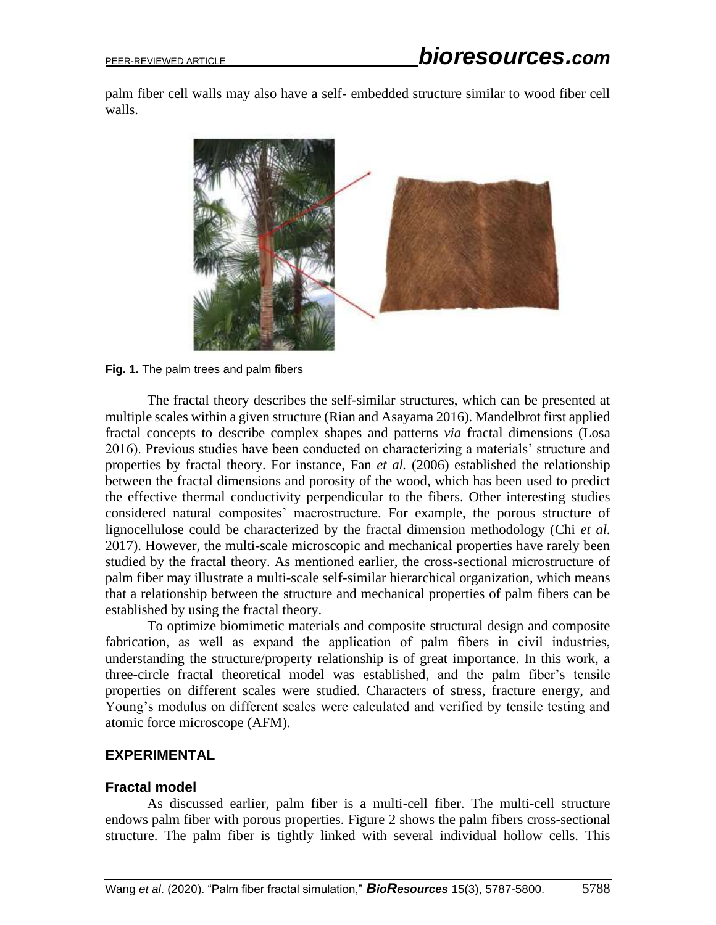palm fiber cell walls may also have a self- embedded structure similar to wood fiber cell walls.



**Fig. 1.** The palm trees and palm fibers

The fractal theory describes the self-similar structures, which can be presented at multiple scales within a given structure (Rian and Asayama 2016). Mandelbrot first applied fractal concepts to describe complex shapes and patterns *via* fractal dimensions (Losa 2016). Previous studies have been conducted on characterizing a materials' structure and properties by fractal theory. For instance, Fan *et al.* (2006) established the relationship between the fractal dimensions and porosity of the wood, which has been used to predict the effective thermal conductivity perpendicular to the fibers. Other interesting studies considered natural composites' macrostructure. For example, the porous structure of lignocellulose could be characterized by the fractal dimension methodology (Chi *et al.* 2017). However, the multi-scale microscopic and mechanical properties have rarely been studied by the fractal theory. As mentioned earlier, the cross-sectional microstructure of palm fiber may illustrate a multi-scale self-similar hierarchical organization, which means that a relationship between the structure and mechanical properties of palm fibers can be established by using the fractal theory.

To optimize biomimetic materials and composite structural design and composite fabrication, as well as expand the application of palm fibers in civil industries, understanding the structure/property relationship is of great importance. In this work, a three-circle fractal theoretical model was established, and the palm fiber's tensile properties on different scales were studied. Characters of stress, fracture energy, and Young's modulus on different scales were calculated and verified by tensile testing and atomic force microscope (AFM).

#### **EXPERIMENTAL**

#### **Fractal model**

As discussed earlier, palm fiber is a multi-cell fiber. The multi-cell structure endows palm fiber with porous properties. Figure 2 shows the palm fibers cross-sectional structure. The palm fiber is tightly linked with several individual hollow cells. This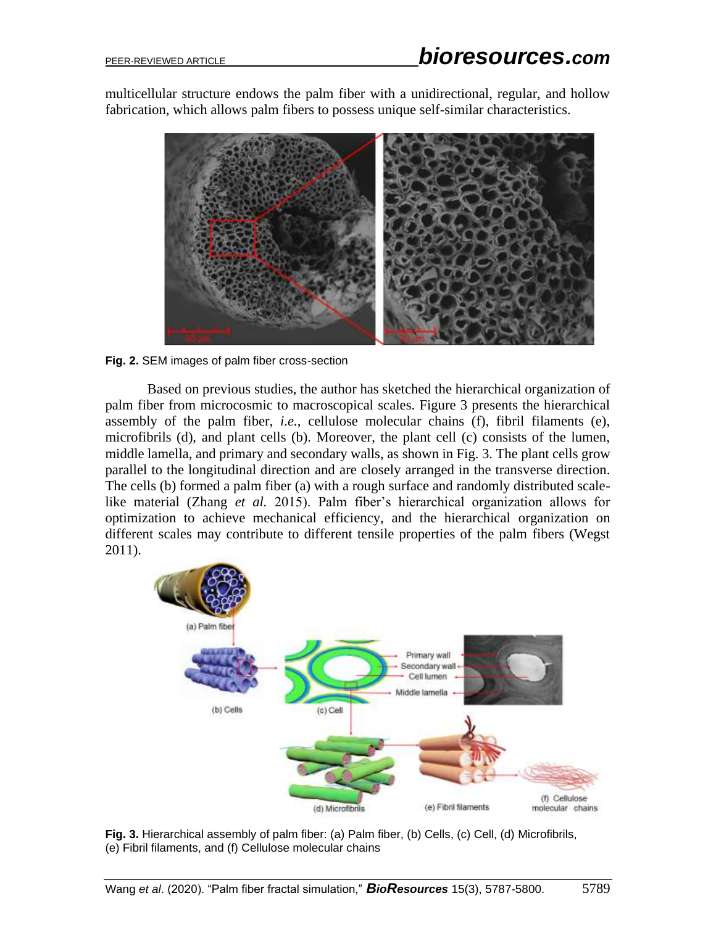multicellular structure endows the palm fiber with a unidirectional, regular, and hollow fabrication, which allows palm fibers to possess unique self-similar characteristics.



**Fig. 2.** SEM images of palm fiber cross-section

Based on previous studies, the author has sketched the hierarchical organization of palm fiber from microcosmic to macroscopical scales. Figure 3 presents the hierarchical assembly of the palm fiber, *i.e.*, cellulose molecular chains (f), fibril filaments (e), microfibrils (d), and plant cells (b). Moreover, the plant cell (c) consists of the lumen, middle lamella, and primary and secondary walls, as shown in Fig. 3. The plant cells grow parallel to the longitudinal direction and are closely arranged in the transverse direction. The cells (b) formed a palm fiber (a) with a rough surface and randomly distributed scalelike material (Zhang *et al.* 2015). Palm fiber's hierarchical organization allows for optimization to achieve mechanical efficiency, and the hierarchical organization on different scales may contribute to different tensile properties of the palm fibers (Wegst 2011).



Fig. 3. Hierarchical assembly of palm fiber: (a) Palm fiber, (b) Cells, (c) Cell, (d) Microfibrils, (e) Fibril filaments, and (f) Cellulose molecular chains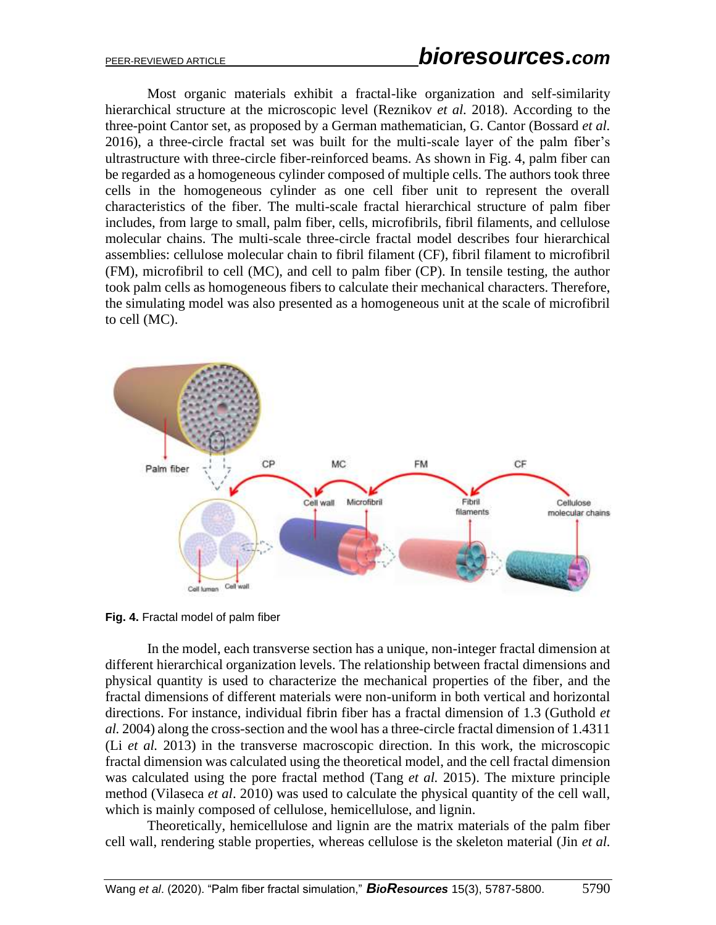Most organic materials exhibit a fractal-like organization and self-similarity hierarchical structure at the microscopic level (Reznikov *et al.* 2018). According to the three-point Cantor set, as proposed by a German mathematician, G. Cantor (Bossard *et al.* 2016), a three-circle fractal set was built for the multi-scale layer of the palm fiber's ultrastructure with three-circle fiber-reinforced beams. As shown in Fig. 4, palm fiber can be regarded as a homogeneous cylinder composed of multiple cells. The authors took three cells in the homogeneous cylinder as one cell fiber unit to represent the overall characteristics of the fiber. The multi-scale fractal hierarchical structure of palm fiber includes, from large to small, palm fiber, cells, microfibrils, fibril filaments, and cellulose molecular chains. The multi-scale three-circle fractal model describes four hierarchical assemblies: cellulose molecular chain to fibril filament (CF), fibril filament to microfibril (FM), microfibril to cell (MC), and cell to palm fiber (CP). In tensile testing, the author took palm cells as homogeneous fibers to calculate their mechanical characters. Therefore, the simulating model was also presented as a homogeneous unit at the scale of microfibril to cell (MC).



**Fig. 4.** Fractal model of palm fiber

In the model, each transverse section has a unique, non-integer fractal dimension at different hierarchical organization levels. The relationship between fractal dimensions and physical quantity is used to characterize the mechanical properties of the fiber, and the fractal dimensions of different materials were non-uniform in both vertical and horizontal directions. For instance, individual fibrin fiber has a fractal dimension of 1.3 (Guthold *et al.* 2004) along the cross-section and the wool has a three-circle fractal dimension of 1.4311 (Li *et al.* 2013) in the transverse macroscopic direction. In this work, the microscopic fractal dimension was calculated using the theoretical model, and the cell fractal dimension was calculated using the pore fractal method (Tang *et al.* 2015). The mixture principle method (Vilaseca *et al*. 2010) was used to calculate the physical quantity of the cell wall, which is mainly composed of cellulose, hemicellulose, and lignin.

Theoretically, hemicellulose and lignin are the matrix materials of the palm fiber cell wall, rendering stable properties, whereas cellulose is the skeleton material (Jin *et al.*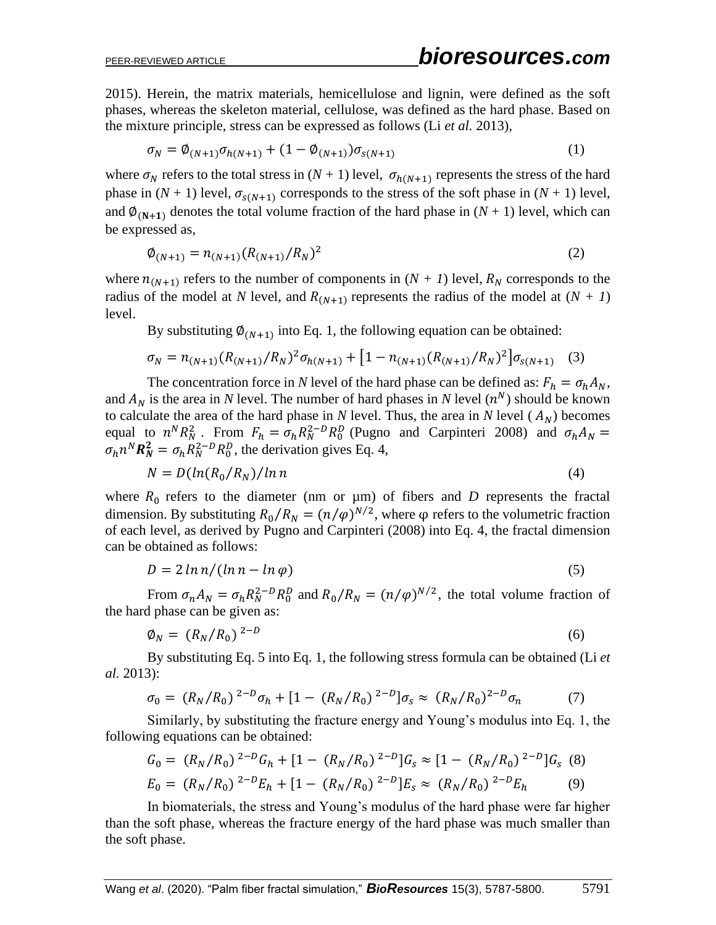2015). Herein, the matrix materials, hemicellulose and lignin, were defined as the soft phases, whereas the skeleton material, cellulose, was defined as the hard phase. Based on the mixture principle, stress can be expressed as follows (Li *et al.* 2013),

$$
\sigma_N = \phi_{(N+1)} \sigma_{h(N+1)} + (1 - \phi_{(N+1)}) \sigma_{s(N+1)}
$$
\n(1)

where  $\sigma_N$  refers to the total stress in  $(N + 1)$  level,  $\sigma_{h(N+1)}$  represents the stress of the hard phase in  $(N + 1)$  level,  $\sigma_{s(N+1)}$  corresponds to the stress of the soft phase in  $(N + 1)$  level, and  $\phi_{(N+1)}$  denotes the total volume fraction of the hard phase in  $(N + 1)$  level, which can be expressed as,

$$
\phi_{(N+1)} = n_{(N+1)} (R_{(N+1)}/R_N)^2
$$
\n(2)

where  $n_{(N+1)}$  refers to the number of components in  $(N + 1)$  level,  $R_N$  corresponds to the radius of the model at *N* level, and  $R_{(N+1)}$  represents the radius of the model at  $(N + 1)$ level.

By substituting  $\phi_{(N+1)}$  into Eq. 1, the following equation can be obtained:

$$
\sigma_N = n_{(N+1)} (R_{(N+1)}/R_N)^2 \sigma_{h(N+1)} + [1 - n_{(N+1)} (R_{(N+1)}/R_N)^2] \sigma_{s(N+1)} \quad (3)
$$

The concentration force in *N* level of the hard phase can be defined as:  $F_h = \sigma_h A_N$ , and  $A_N$  is the area in *N* level. The number of hard phases in *N* level  $(n^N)$  should be known to calculate the area of the hard phase in *N* level. Thus, the area in *N* level ( $A_N$ ) becomes equal to  $n^N R_N^2$ . From  $F_h = \sigma_h R_N^{2-D} R_0^D$  (Pugno and Carpinteri 2008) and  $\sigma_h A_N =$  $\sigma_h n^N \mathbf{R}_N^2 = \sigma_h R_N^{2-D} R_0^D$ , the derivation gives Eq. 4,

$$
N = D\left(\ln(R_0/R_N)/\ln n\right) \tag{4}
$$

where  $R_0$  refers to the diameter (nm or  $\mu$ m) of fibers and *D* represents the fractal dimension. By substituting  $R_0/R_N = (n/\varphi)^{N/2}$ , where  $\varphi$  refers to the volumetric fraction of each level, as derived by Pugno and Carpinteri (2008) into Eq. 4, the fractal dimension can be obtained as follows:

$$
D = 2\ln n / (\ln n - \ln \varphi) \tag{5}
$$

From  $\sigma_n A_N = \sigma_h R_N^{2-D} R_0^D$  and  $R_0/R_N = (n/\varphi)^{N/2}$ , the total volume fraction of the hard phase can be given as:

$$
\varphi_N = (R_N/R_0)^{2-D} \tag{6}
$$

By substituting Eq. 5 into Eq. 1, the following stress formula can be obtained (Li *et al.* 2013):

$$
\sigma_0 = (R_N/R_0)^{2-D} \sigma_h + [1 - (R_N/R_0)^{2-D}] \sigma_s \approx (R_N/R_0)^{2-D} \sigma_n \tag{7}
$$

Similarly, by substituting the fracture energy and Young's modulus into Eq. 1, the following equations can be obtained:

$$
G_0 = (R_N/R_0)^{2-D} G_h + [1 - (R_N/R_0)^{2-D}] G_s \approx [1 - (R_N/R_0)^{2-D}] G_s
$$
 (8)  

$$
E_0 = (R_N/R_0)^{2-D} E_h + [1 - (R_N/R_0)^{2-D}] E_s \approx (R_N/R_0)^{2-D} E_h
$$
 (9)

In biomaterials, the stress and Young's modulus of the hard phase were far higher than the soft phase, whereas the fracture energy of the hard phase was much smaller than the soft phase.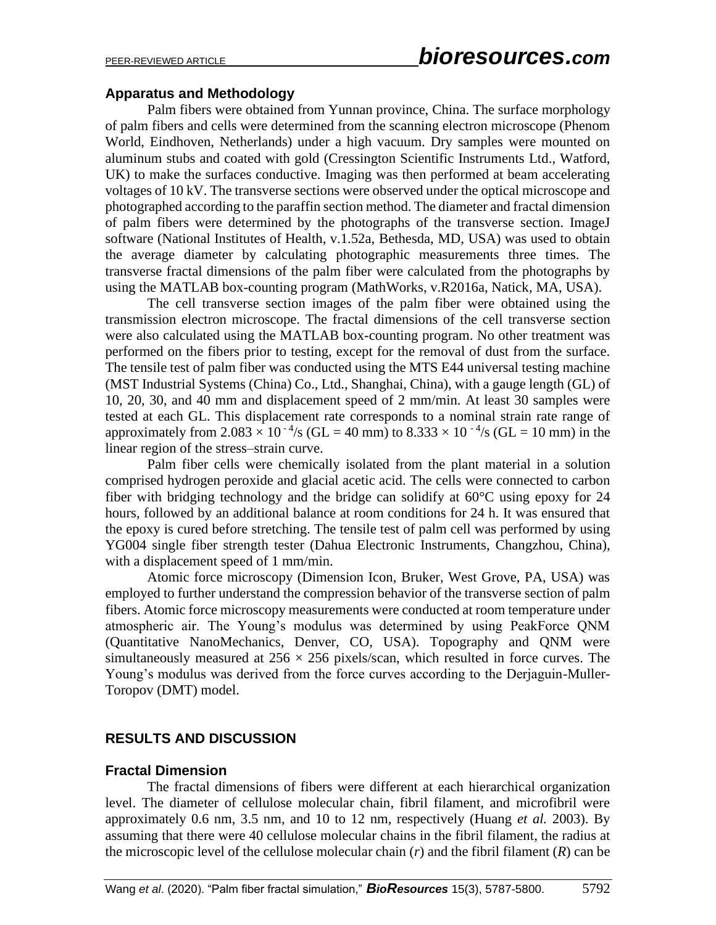#### **Apparatus and Methodology**

Palm fibers were obtained from Yunnan province, China. The surface morphology of palm fibers and cells were determined from the scanning electron microscope (Phenom World, Eindhoven, Netherlands) under a high vacuum. Dry samples were mounted on aluminum stubs and coated with gold (Cressington Scientific Instruments Ltd., Watford, UK) to make the surfaces conductive. Imaging was then performed at beam accelerating voltages of 10 kV. The transverse sections were observed under the optical microscope and photographed according to the paraffin section method. The diameter and fractal dimension of palm fibers were determined by the photographs of the transverse section. ImageJ software (National Institutes of Health, v.1.52a, Bethesda, MD, USA) was used to obtain the average diameter by calculating photographic measurements three times. The transverse fractal dimensions of the palm fiber were calculated from the photographs by using the MATLAB box-counting program (MathWorks, v.R2016a, Natick, MA, USA).

The cell transverse section images of the palm fiber were obtained using the transmission electron microscope. The fractal dimensions of the cell transverse section were also calculated using the MATLAB box-counting program. No other treatment was performed on the fibers prior to testing, except for the removal of dust from the surface. The tensile test of palm fiber was conducted using the MTS E44 universal testing machine (MST Industrial Systems (China) Co., Ltd., Shanghai, China), with a gauge length (GL) of 10, 20, 30, and 40 mm and displacement speed of 2 mm/min. At least 30 samples were tested at each GL. This displacement rate corresponds to a nominal strain rate range of approximately from 2.083  $\times$  10<sup>-4</sup>/s (GL = 40 mm) to 8.333  $\times$  10<sup>-4</sup>/s (GL = 10 mm) in the linear region of the stress–strain curve.

Palm fiber cells were chemically isolated from the plant material in a solution comprised hydrogen peroxide and glacial acetic acid. The cells were connected to carbon fiber with bridging technology and the bridge can solidify at 60°C using epoxy for 24 hours, followed by an additional balance at room conditions for 24 h. It was ensured that the epoxy is cured before stretching. The tensile test of palm cell was performed by using YG004 single fiber strength tester (Dahua Electronic Instruments, Changzhou, China), with a displacement speed of 1 mm/min.

Atomic force microscopy (Dimension Icon, Bruker, West Grove, PA, USA) was employed to further understand the compression behavior of the transverse section of palm fibers. Atomic force microscopy measurements were conducted at room temperature under atmospheric air. The Young's modulus was determined by using PeakForce QNM (Quantitative NanoMechanics, Denver, CO, USA). Topography and QNM were simultaneously measured at  $256 \times 256$  pixels/scan, which resulted in force curves. The Young's modulus was derived from the force curves according to the Derjaguin-Muller-Toropov (DMT) model.

# **RESULTS AND DISCUSSION**

#### **Fractal Dimension**

The fractal dimensions of fibers were different at each hierarchical organization level. The diameter of cellulose molecular chain, fibril filament, and microfibril were approximately 0.6 nm, 3.5 nm, and 10 to 12 nm, respectively (Huang *et al.* 2003). By assuming that there were 40 cellulose molecular chains in the fibril filament, the radius at the microscopic level of the cellulose molecular chain (*r*) and the fibril filament (*R*) can be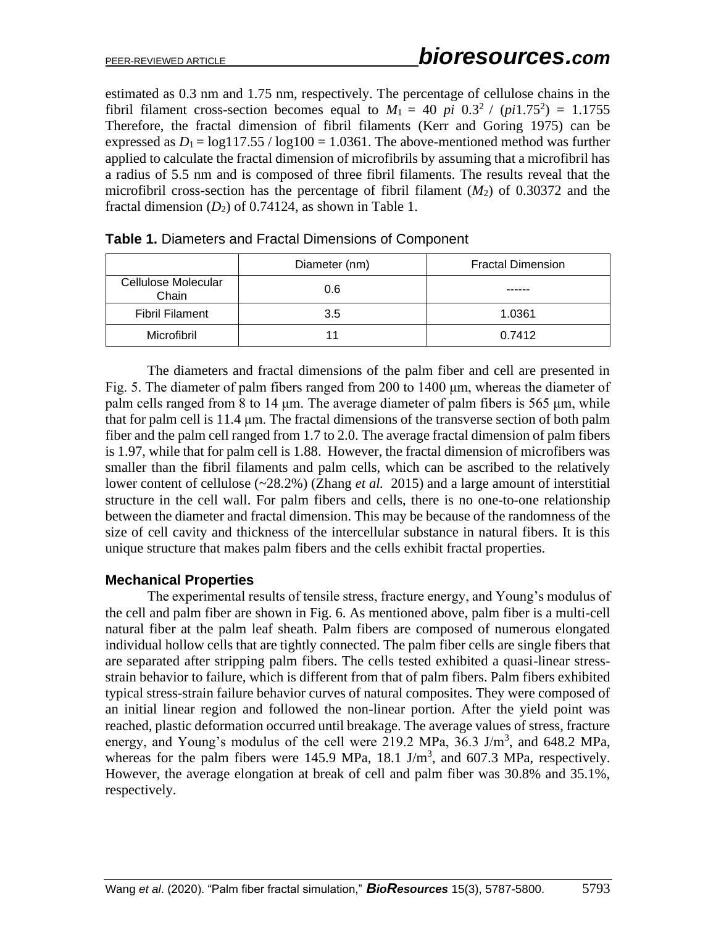estimated as 0.3 nm and 1.75 nm, respectively. The percentage of cellulose chains in the fibril filament cross-section becomes equal to  $M_1 = 40$  *pi*  $0.3^2 / (pi1.75^2) = 1.1755$ Therefore, the fractal dimension of fibril filaments (Kerr and Goring 1975) can be expressed as  $D_1 = \log(117.55 / \log(100) = 1.0361)$ . The above-mentioned method was further applied to calculate the fractal dimension of microfibrils by assuming that a microfibril has a radius of 5.5 nm and is composed of three fibril filaments. The results reveal that the microfibril cross-section has the percentage of fibril filament  $(M_2)$  of 0.30372 and the fractal dimension  $(D_2)$  of 0.74124, as shown in Table 1.

|                              | Diameter (nm) | <b>Fractal Dimension</b> |
|------------------------------|---------------|--------------------------|
| Cellulose Molecular<br>Chain | 0.6           |                          |
| <b>Fibril Filament</b>       | 3.5           | 1.0361                   |
| <b>Microfibril</b>           |               | 0.7412                   |

|  |  |  | <b>Table 1.</b> Diameters and Fractal Dimensions of Component |
|--|--|--|---------------------------------------------------------------|
|--|--|--|---------------------------------------------------------------|

The diameters and fractal dimensions of the palm fiber and cell are presented in Fig. 5. The diameter of palm fibers ranged from 200 to 1400 μm, whereas the diameter of palm cells ranged from 8 to 14 μm. The average diameter of palm fibers is 565 μm, while that for palm cell is 11.4 μm. The fractal dimensions of the transverse section of both palm fiber and the palm cell ranged from 1.7 to 2.0. The average fractal dimension of palm fibers is 1.97, while that for palm cell is 1.88. However, the fractal dimension of microfibers was smaller than the fibril filaments and palm cells, which can be ascribed to the relatively lower content of cellulose (~28.2%) (Zhang *et al.* 2015) and a large amount of interstitial structure in the cell wall. For palm fibers and cells, there is no one-to-one relationship between the diameter and fractal dimension. This may be because of the randomness of the size of cell cavity and thickness of the intercellular substance in natural fibers. It is this unique structure that makes palm fibers and the cells exhibit fractal properties.

#### **Mechanical Properties**

The experimental results of tensile stress, fracture energy, and Young's modulus of the cell and palm fiber are shown in Fig. 6. As mentioned above, palm fiber is a multi-cell natural fiber at the palm leaf sheath. Palm fibers are composed of numerous elongated individual hollow cells that are tightly connected. The palm fiber cells are single fibers that are separated after stripping palm fibers. The cells tested exhibited a quasi-linear stressstrain behavior to failure, which is different from that of palm fibers. Palm fibers exhibited typical stress-strain failure behavior curves of natural composites. They were composed of an initial linear region and followed the non-linear portion. After the yield point was reached, plastic deformation occurred until breakage. The average values of stress, fracture energy, and Young's modulus of the cell were 219.2 MPa,  $36.3$  J/m<sup>3</sup>, and  $648.2$  MPa, whereas for the palm fibers were 145.9 MPa, 18.1 J/m<sup>3</sup>, and 607.3 MPa, respectively. However, the average elongation at break of cell and palm fiber was 30.8% and 35.1%, respectively.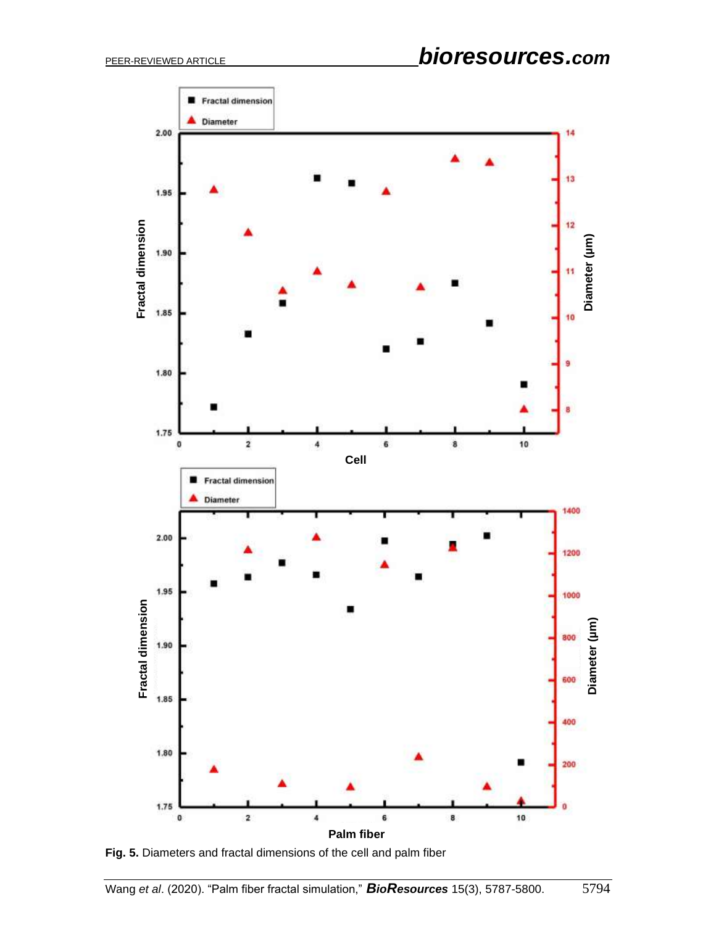

**Fig. 5.** Diameters and fractal dimensions of the cell and palm fiber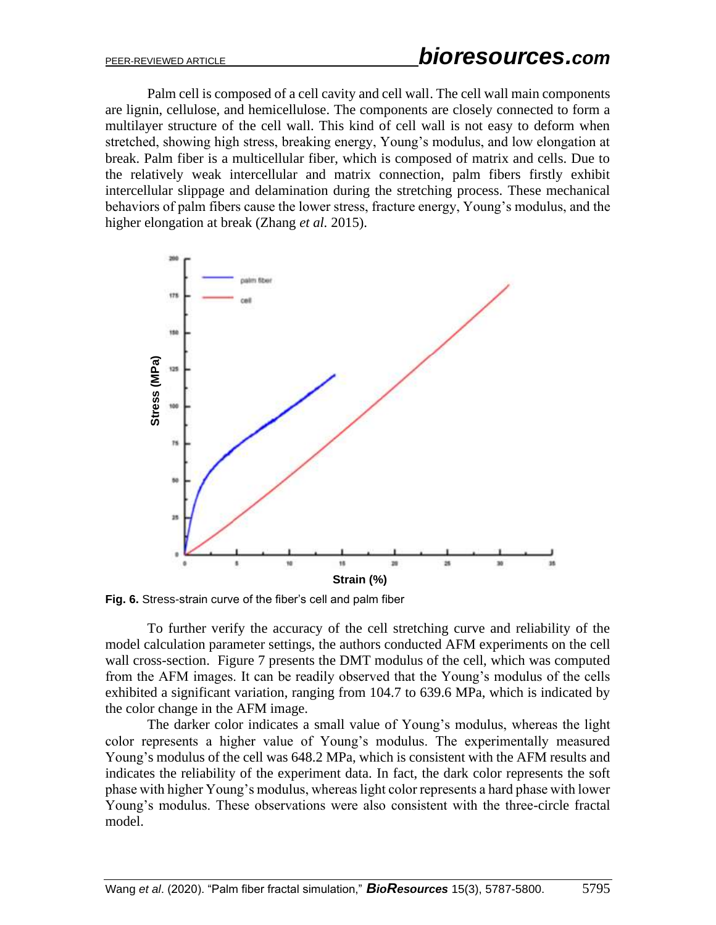Palm cell is composed of a cell cavity and cell wall. The cell wall main components are lignin, cellulose, and hemicellulose. The components are closely connected to form a multilayer structure of the cell wall. This kind of cell wall is not easy to deform when stretched, showing high stress, breaking energy, Young's modulus, and low elongation at break. Palm fiber is a multicellular fiber, which is composed of matrix and cells. Due to the relatively weak intercellular and matrix connection, palm fibers firstly exhibit intercellular slippage and delamination during the stretching process. These mechanical behaviors of palm fibers cause the lower stress, fracture energy, Young's modulus, and the higher elongation at break (Zhang *et al.* 2015).



**Fig. 6.** Stress-strain curve of the fiber's cell and palm fiber

To further verify the accuracy of the cell stretching curve and reliability of the model calculation parameter settings, the authors conducted AFM experiments on the cell wall cross-section. Figure 7 presents the DMT modulus of the cell, which was computed from the AFM images. It can be readily observed that the Young's modulus of the cells exhibited a significant variation, ranging from 104.7 to 639.6 MPa, which is indicated by the color change in the AFM image.

The darker color indicates a small value of Young's modulus, whereas the light color represents a higher value of Young's modulus. The experimentally measured Young's modulus of the cell was 648.2 MPa, which is consistent with the AFM results and indicates the reliability of the experiment data. In fact, the dark color represents the soft phase with higher Young's modulus, whereas light color represents a hard phase with lower Young's modulus. These observations were also consistent with the three-circle fractal model.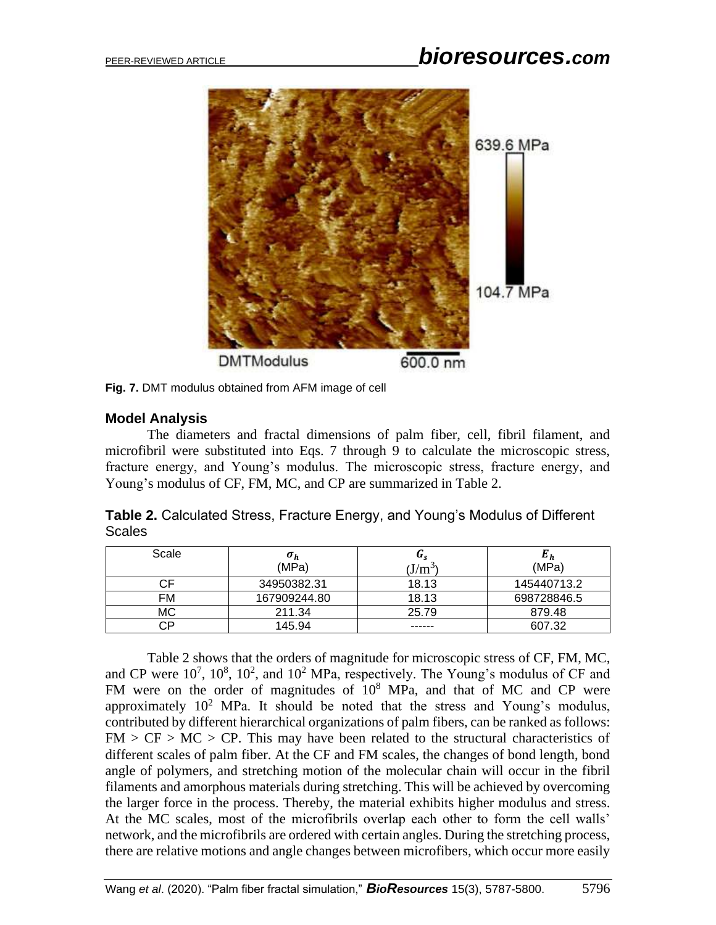

**Fig. 7.** DMT modulus obtained from AFM image of cell

## **Model Analysis**

The diameters and fractal dimensions of palm fiber, cell, fibril filament, and microfibril were substituted into Eqs. 7 through 9 to calculate the microscopic stress, fracture energy, and Young's modulus. The microscopic stress, fracture energy, and Young's modulus of CF, FM, MC, and CP are summarized in Table 2.

|               | Table 2. Calculated Stress, Fracture Energy, and Young's Modulus of Different |  |  |  |
|---------------|-------------------------------------------------------------------------------|--|--|--|
| <b>Scales</b> |                                                                               |  |  |  |

| Scale | $\sigma_h$<br>(MPa) | u.<br>$(J/m^3)$ | $\bm{E_h}$<br>(MPa) |
|-------|---------------------|-----------------|---------------------|
|       | 34950382.31         | 18.13           | 145440713.2         |
| FM    | 167909244.80        | 18.13           | 698728846.5         |
| МC    | 211.34              | 25.79           | 879.48              |
| חי    | 145.94              | ------          | 607.32              |

Table 2 shows that the orders of magnitude for microscopic stress of CF, FM, MC, and CP were  $10^7$ ,  $10^8$ ,  $10^2$ , and  $10^2$  MPa, respectively. The Young's modulus of CF and FM were on the order of magnitudes of  $10^8$  MPa, and that of MC and CP were approximately  $10^2$  MPa. It should be noted that the stress and Young's modulus, contributed by different hierarchical organizations of palm fibers, can be ranked as follows:  $FM > CF > MC > CP$ . This may have been related to the structural characteristics of different scales of palm fiber. At the CF and FM scales, the changes of bond length, bond angle of polymers, and stretching motion of the molecular chain will occur in the fibril filaments and amorphous materials during stretching. This will be achieved by overcoming the larger force in the process. Thereby, the material exhibits higher modulus and stress. At the MC scales, most of the microfibrils overlap each other to form the cell walls' network, and the microfibrils are ordered with certain angles. During the stretching process, there are relative motions and angle changes between microfibers, which occur more easily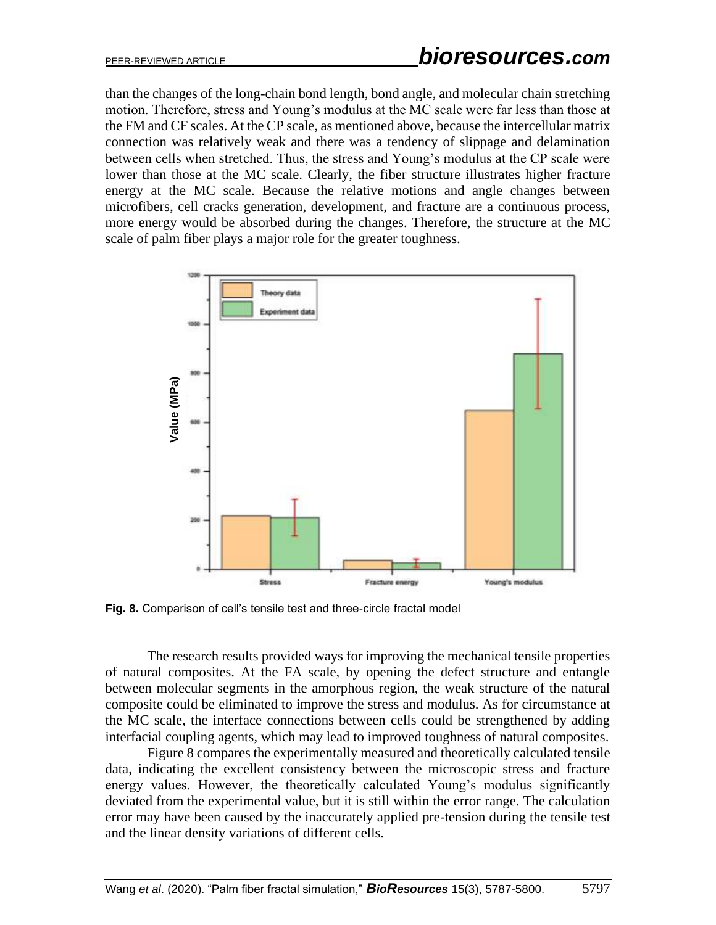than the changes of the long-chain bond length, bond angle, and molecular chain stretching motion. Therefore, stress and Young's modulus at the MC scale were far less than those at the FM and CF scales. At the CP scale, as mentioned above, because the intercellular matrix connection was relatively weak and there was a tendency of slippage and delamination between cells when stretched. Thus, the stress and Young's modulus at the CP scale were lower than those at the MC scale. Clearly, the fiber structure illustrates higher fracture energy at the MC scale. Because the relative motions and angle changes between microfibers, cell cracks generation, development, and fracture are a continuous process, more energy would be absorbed during the changes. Therefore, the structure at the MC scale of palm fiber plays a major role for the greater toughness.



**Fig. 8.** Comparison of cell's tensile test and three-circle fractal model

The research results provided ways for improving the mechanical tensile properties of natural composites. At the FA scale, by opening the defect structure and entangle between molecular segments in the amorphous region, the weak structure of the natural composite could be eliminated to improve the stress and modulus. As for circumstance at the MC scale, the interface connections between cells could be strengthened by adding interfacial coupling agents, which may lead to improved toughness of natural composites.

Figure 8 compares the experimentally measured and theoretically calculated tensile data, indicating the excellent consistency between the microscopic stress and fracture energy values. However, the theoretically calculated Young's modulus significantly deviated from the experimental value, but it is still within the error range. The calculation error may have been caused by the inaccurately applied pre-tension during the tensile test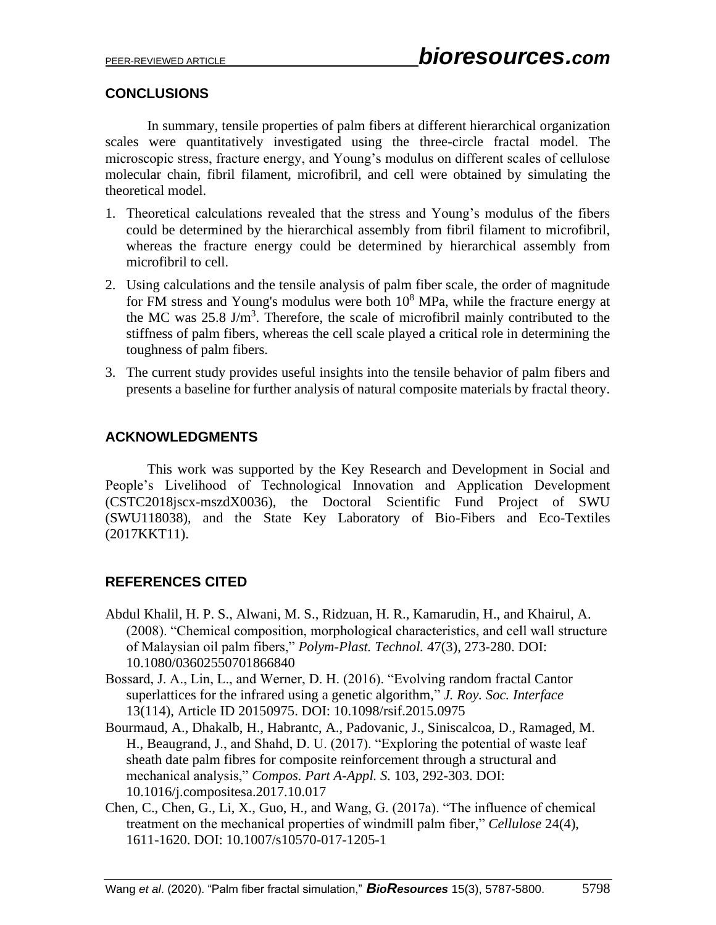## **CONCLUSIONS**

In summary, tensile properties of palm fibers at different hierarchical organization scales were quantitatively investigated using the three-circle fractal model. The microscopic stress, fracture energy, and Young's modulus on different scales of cellulose molecular chain, fibril filament, microfibril, and cell were obtained by simulating the theoretical model.

- 1. Theoretical calculations revealed that the stress and Young's modulus of the fibers could be determined by the hierarchical assembly from fibril filament to microfibril, whereas the fracture energy could be determined by hierarchical assembly from microfibril to cell.
- 2. Using calculations and the tensile analysis of palm fiber scale, the order of magnitude for FM stress and Young's modulus were both  $10<sup>8</sup>$  MPa, while the fracture energy at the MC was  $25.8 \text{ J/m}^3$ . Therefore, the scale of microfibril mainly contributed to the stiffness of palm fibers, whereas the cell scale played a critical role in determining the toughness of palm fibers.
- 3. The current study provides useful insights into the tensile behavior of palm fibers and presents a baseline for further analysis of natural composite materials by fractal theory.

## **ACKNOWLEDGMENTS**

This work was supported by the Key Research and Development in Social and People's Livelihood of Technological Innovation and Application Development (CSTC2018jscx-mszdX0036), the Doctoral Scientific Fund Project of SWU (SWU118038), and the State Key Laboratory of Bio-Fibers and Eco-Textiles (2017KKT11).

#### **REFERENCES CITED**

- Abdul Khalil, H. P. S., Alwani, M. S., Ridzuan, H. R., Kamarudin, H., and Khairul, A. (2008). "Chemical composition, morphological characteristics, and cell wall structure of Malaysian oil palm fibers," *Polym-Plast. Technol.* 47(3), 273-280. DOI: 10.1080/03602550701866840
- Bossard, J. A., Lin, L., and Werner, D. H. (2016). "Evolving random fractal Cantor superlattices for the infrared using a genetic algorithm," *J. Roy. Soc. Interface* 13(114), Article ID 20150975. DOI: 10.1098/rsif.2015.0975
- Bourmaud, A., Dhakalb, H., Habrantc, A., Padovanic, J., Siniscalcoa, D., Ramaged, M. H., Beaugrand, J., and Shahd, D. U. (2017). "Exploring the potential of waste leaf sheath date palm fibres for composite reinforcement through a structural and mechanical analysis," *Compos. Part A-Appl. S.* 103, 292-303. DOI: 10.1016/j.compositesa.2017.10.017
- Chen, C., Chen, G., Li, X., Guo, H., and Wang, G. (2017a). "The influence of chemical treatment on the mechanical properties of windmill palm fiber," *Cellulose* 24(4), 1611-1620. DOI: 10.1007/s10570-017-1205-1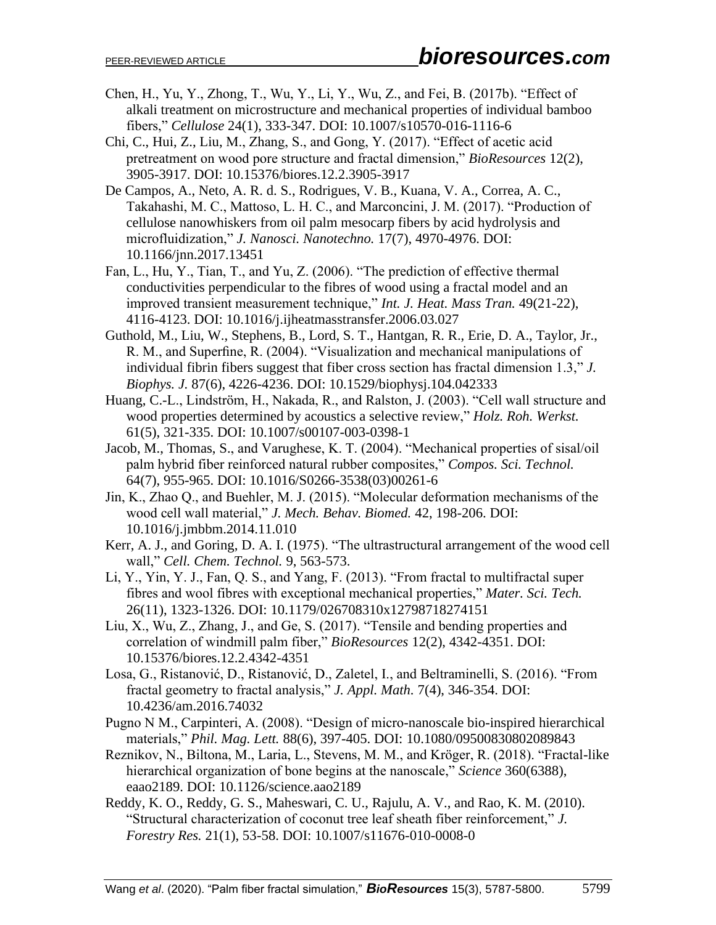- Chen, H., Yu, Y., Zhong, T., Wu, Y., Li, Y., Wu, Z., and Fei, B. (2017b). "Effect of alkali treatment on microstructure and mechanical properties of individual bamboo fibers," *Cellulose* 24(1), 333-347. DOI: 10.1007/s10570-016-1116-6
- Chi, C., Hui, Z., Liu, M., Zhang, S., and Gong, Y. (2017). "Effect of acetic acid pretreatment on wood pore structure and fractal dimension," *BioResources* 12(2), 3905-3917. DOI: 10.15376/biores.12.2.3905-3917
- De Campos, A., Neto, A. R. d. S., Rodrigues, V. B., Kuana, V. A., Correa, A. C., Takahashi, M. C., Mattoso, L. H. C., and Marconcini, J. M. (2017). "Production of cellulose nanowhiskers from oil palm mesocarp fibers by acid hydrolysis and microfluidization," *J. Nanosci. Nanotechno.* 17(7), 4970-4976. DOI: 10.1166/jnn.2017.13451
- Fan, L., Hu, Y., Tian, T., and Yu, Z. (2006). "The prediction of effective thermal conductivities perpendicular to the fibres of wood using a fractal model and an improved transient measurement technique," *Int. J. Heat. Mass Tran.* 49(21-22), 4116-4123. DOI: 10.1016/j.ijheatmasstransfer.2006.03.027
- Guthold, M., Liu, W., Stephens, B., Lord, S. T., Hantgan, R. R., Erie, D. A., Taylor, Jr., R. M., and Superfine, R. (2004). "Visualization and mechanical manipulations of individual fibrin fibers suggest that fiber cross section has fractal dimension 1.3," *J. Biophys. J.* 87(6), 4226-4236. DOI: 10.1529/biophysj.104.042333
- Huang, C.-L., Lindström, H., Nakada, R., and Ralston, J. (2003). "Cell wall structure and wood properties determined by acoustics a selective review," *Holz. Roh. Werkst.* 61(5), 321-335. DOI: 10.1007/s00107-003-0398-1
- Jacob, M., Thomas, S., and Varughese, K. T. (2004). "Mechanical properties of sisal/oil palm hybrid fiber reinforced natural rubber composites," *Compos. Sci. Technol.* 64(7), 955-965. DOI: 10.1016/S0266-3538(03)00261-6
- Jin, K., Zhao Q., and Buehler, M. J. (2015). "Molecular deformation mechanisms of the wood cell wall material," *J. Mech. Behav. Biomed.* 42, 198-206. DOI: 10.1016/j.jmbbm.2014.11.010
- Kerr, A. J., and Goring, D. A. I. (1975). "The ultrastructural arrangement of the wood cell wall," *Cell. Chem. Technol.* 9, 563-573.
- Li, Y., Yin, Y. J., Fan, Q. S., and Yang, F. (2013). "From fractal to multifractal super fibres and wool fibres with exceptional mechanical properties," *Mater. Sci. Tech.*  26(11), 1323-1326. DOI: 10.1179/026708310x12798718274151
- Liu, X., Wu, Z., Zhang, J., and Ge, S. (2017). "Tensile and bending properties and correlation of windmill palm fiber," *BioResources* 12(2), 4342-4351. DOI: 10.15376/biores.12.2.4342-4351
- Losa, G., Ristanović, D., Ristanović, D., Zaletel, I., and Beltraminelli, S. (2016). "From fractal geometry to fractal analysis," *J. Appl. Math.* 7(4), 346-354. DOI: 10.4236/am.2016.74032
- Pugno N M., Carpinteri, A. (2008). "Design of micro-nanoscale bio-inspired hierarchical materials," *Phil. Mag. Lett.* 88(6), 397-405. DOI: 10.1080/09500830802089843
- Reznikov, N., Biltona, M., Laria, L., Stevens, M. M., and Kröger, R. (2018). "Fractal-like hierarchical organization of bone begins at the nanoscale," *Science* 360(6388), eaao2189. DOI: 10.1126/science.aao2189
- Reddy, K. O., Reddy, G. S., Maheswari, C. U., Rajulu, A. V., and Rao, K. M. (2010). "Structural characterization of coconut tree leaf sheath fiber reinforcement," *J. Forestry Res.* 21(1), 53-58. DOI: 10.1007/s11676-010-0008-0